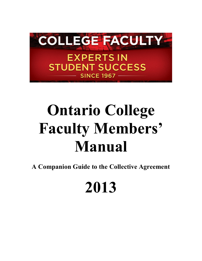

# **Ontario College Faculty Members' Manual**

**A Companion Guide to the Collective Agreement** 

## **2013**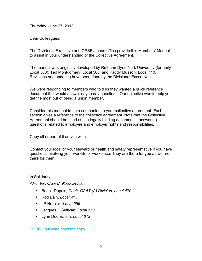Thursday, June 27, 2013

Dear Colleagues:

The Divisional Executive and OPSEU head office provide this Members' Manual to assist in your understanding of the Collective Agreement.

The manual was originally developed by Ruthann Dyer, York University (formerly Local 560); Ted Montgomery, Local 560; and Paddy Musson, Local 110. Revisions and updating have been done by the Divisional Executive.

We were responding to members who told us they wanted a quick reference document that would answer day to day questions. Our objective was to help you get the most out of being a union member.

Consider this manual to be a companion to your collective agreement. Each section gives a reference to the collective agreement. Note that the Collective Agreement should be used as the legally binding document in answering questions related to employee and employer rights and responsibilities.

Copy all or part of it as you wish.

Contact your local or your steward or health and safety representative if you have questions involving your worklife or workplace. They are there for you as we are there for them.

In Solidarity,

#### the Divisional Executive

- Benoit Dupuis, *Chair, CAAT (A) Division, Local 470*
- Rod Bain, *Local 415*
- JP Hornick, *Local 556*
- Jacques O'Sullivan, *Local 558*
- Lynn Dee Eason, *Local 613*

OPSEU guy who does the copy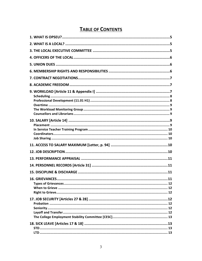## **TABLE OF CONTENTS**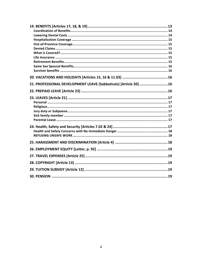| 21. PROFESSIONAL DEVELOPMENT LEAVE (Sabbaticals) [Article 20] 16 |  |
|------------------------------------------------------------------|--|
|                                                                  |  |
|                                                                  |  |
|                                                                  |  |
|                                                                  |  |
|                                                                  |  |
|                                                                  |  |
|                                                                  |  |
|                                                                  |  |
|                                                                  |  |
|                                                                  |  |
|                                                                  |  |
|                                                                  |  |
|                                                                  |  |
|                                                                  |  |
|                                                                  |  |
|                                                                  |  |
|                                                                  |  |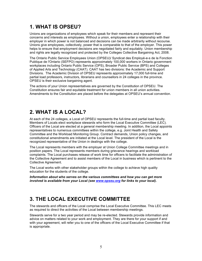## **1. WHAT IS OPSEU?**

Unions are organizations of employees which speak for their members and represent their concerns and interests as employees. Without a union, employees enter a relationship with their employer in which power is not balanced and decisions can be made arbitrarily without recourse. Unions give employees, collectively, power that is comparable to that of the employer. This power helps to ensure that employment decisions are negotiated fairly and equitably. Union membership and rights are legally recognized and protected by the Colleges Collective Bargaining Act, 2008.

The Ontario Public Service Employees Union (OPSEU)/ Syndicat des Employé-e-s de la Fonction Publique de l'Ontario (SEFPO) represents approximately 100,000 workers in Ontario government workplaces including Ontario Public Service (OPS), Broader Public Service (BPS) and Colleges of Applied Arts and Technology (CAAT). CAAT has two divisions: the Academic and Support Divisions. The Academic Division of OPSEU represents approximately 17,000 full-time and partial load professors, instructors, librarians and counsellors in 24 colleges in the province. OPSEU is their exclusive bargaining agent.

The actions of your Union representatives are governed by the Constitution of OPSEU. The Constitution ensures fair and equitable treatment for union members in all union activities. Amendments to the Constitution are placed before the delegates at OPSEU's annual convention.

## **2. WHAT IS A LOCAL?**

At each of the 24 colleges, a Local of OPSEU represents the full-time and partial load faculty. Members of Locals elect workplace stewards who form the Local Executive Committee (LEC). Officers of the Local are elected at a general membership meeting. In addition, the Local appoints representatives to numerous committees within the college, e.g. Joint Health and Safety Committee and the Workload Monitoring Group. Contract demands, Union policy changes, and constitutional amendments are initiated at the Local level. The president of the Local is the recognized representative of the Union in dealings with the college.

The Local represents members with the employer at Union College Committee meetings and in position papers. The Local represents members during grievance hearings and workload complaints. The Local purchases release of work time for officers to facilitate the administration of the Collective Agreement and to assist members of the Local in business which is pertinent to the Collective Agreement.

The Local works with other stakeholder groups within the college to achieve high quality education for the students of the college.

*Information about who serves on the various committees and how you can get more involved is available from your Local (see www.opseu.org for links to your local).* 

## **3. THE LOCAL EXECUTIVE COMMITTEE**

The stewards and officers of the Local comprise the Local Executive Committee. This LEC meets as required to direct the activities of the Local between membership meetings.

Stewards serve for a two year period and may be re-elected. Stewards provide information and advice on matters related to your work and employment. They are there for your support if and with your agreement, will refer you to one of the officers of the Local Executive Committee if that is appropriate.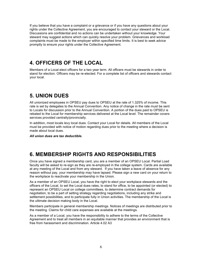If you believe that you have a complaint or a grievance or if you have any questions about your rights under the Collective Agreement, you are encouraged to contact your steward or the Local. Discussions are confidential and no actions can be undertaken without your knowledge. Your steward may suggest actions which can quickly resolve your problem. Grievances and workload complaints must be made to the employer within specified time limits. It is best to seek advice promptly to ensure your rights under the Collective Agreement.

## **4. OFFICERS OF THE LOCAL**

Members of a Local elect officers for a two year term. All officers must be stewards in order to stand for election. Officers may be re-elected. For a complete list of officers and stewards contact your local.

## **5. UNION DUES**

All unionized employees in OPSEU pay dues to OPSEU at the rate of 1.325% of income. This rate is set by delegates to the Annual Convention. Any notice of change in the rate must be sent to Locals for discussion prior to the Annual Convention. A portion of the dues paid to OPSEU is rebated to the Local for membership services delivered at the Local level. The remainder covers services provided centrally/provincially.

In addition, most locals levy local dues. Contact your Local for details. All members of the Local must be provided with notice of motion regarding dues prior to the meeting where a decision is made about local dues.

*All union dues are tax deductible.* 

## **6. MEMBERSHIP RIGHTS AND RESPONSIBILITIES**

Once you have signed a membership card, you are a member of an OPSEU Local. Partial Load faculty will be asked to re-sign as they are re-employed in the college system. Cards are available at any meeting of the Local and from any steward. If you have taken a leave of absence for any reason without pay, your membership may have lapsed. Please sign a new card on your return to the workplace to reactivate your membership in the Union.

As a member of an OPSEU Local, you have the right to elect your workplace stewards and the officers of the Local, to set the Local dues rates, to stand for office, to be appointed (or elected) to represent an OPSEU Local on college committees, to determine contract demands for negotiation, to be a part of setting strategy regarding negotiations, including any strike and settlement possibilities, and to participate fully in Union activities. The membership of the Local is the ultimate decision making body in the Local.

Members participate in general membership meetings. Notices of meetings are distributed prior to the meeting. Claims for child care expenses are available at the meetings.

As a member of a Local, you have the responsibility to adhere to the terms of the Collective Agreement and to treat all members in an equitable manner that provides an environment that is free from harassment and discrimination. Article 4.02 A3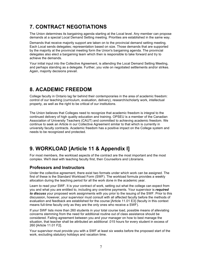## **7. CONTRACT NEGOTIATIONS**

The Union determines its bargaining agenda starting at the Local level. Any member can propose demands at a special Local Demand Setting meeting. Priorities are established in the same way.

Demands that receive majority support are taken on to the provincial demand setting meeting. Each Local sends delegates; representation based on size. Those demands that are supported by the majority at the provincial meeting form the Union's bargaining agenda. The provincial delegates also elect a bargaining team which then is responsible to take forward and try to achieve the demands.

Your initial input into the Collective Agreement, is attending the Local Demand Setting Meeting, and perhaps standing as a delegate. Further, you vote on negotiated settlements and/or strikes. Again, majority decisions prevail.

## **8. ACADEMIC FREEDOM**

College faculty in Ontario lag far behind their contemporaries in the area of academic freedom: control of our teaching (curriculum, evaluation, delivery), research/scholarly work, intellectual property, as well as the right to be critical of our institutions.

The Union believes that Colleges need to recognize that academic freedom is integral to the continued delivery of high quality education and training. OPSEU is a member of the Canadian Association of University Teachers (CAUT) and committed to achieving academic freedom. We continue to seek an Article in our Collective Agreement similar to that which is currently in university faculty contracts. Academic freedom has a positive impact on the College system and needs to be recognized and protected.

## **9. WORKLOAD [Article 11 & Appendix I]**

For most members, the workload aspects of the contract are the most important and the most complex. We'll deal with teaching faculty first, then Counsellors and Librarians.

#### **Professors and Instructors**

Under the collective agreement, there exist two formats under which work can be assigned. The first of these is the Standard Workload Form (SWF). The workload formula provides a weekly allocation during the teaching period for all the work done in the academic year.

Learn to read your SWF. It is your contract of work, setting out what the college can expect from you and what you are entitled to, including any overtime payments. Your supervisor is *required to discuss* your proposed work assignments with you prior to the issuing of the SWF. Prior to this discussion, however, your supervisor must consult with all affected faculty before the methods of evaluation and feedback are established for the course [Article 11.01 E3] (faculty in this context means full-time faculty only as they are the only ones who receive a SWF).

If your SWF lists more than 260 students in your total course load, possible means of alleviating concerns stemming from the need for additional routine out of class assistance should be considered. Failing agreement between you and your manager on how to best manage the situation, that teacher shall be attributed an additional .015 hours for every student in excess of 260 [Article 11.01 F2].

Your supervisor must provide you with a SWF at least six weeks before the proposed start of the work, excluding statutory holidays and vacation time.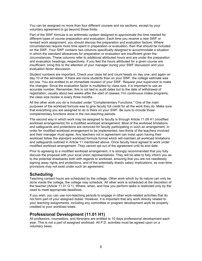You can be assigned no more than four different courses and six sections, except by your voluntary agreement to go beyond those limits.

Part of the SWF formula is an arithmetic system designed to approximate the time needed for different types of course preparation and evaluation. Each time you receive a new SWF or revised work assignment, you should discuss the preparation and evaluation factors. Where circumstances require more time spent in preparation or evaluation, then that should be included on the SWF. Your SWF contains two columns specifically designed to accommodate a situation in which the standard allowances for preparation or evaluation are insufficient given the circumstances. These columns refer to additional attributed hours and are under the preparation and evaluation headings, respectively. If you feel the hours attributed for a given course are insufficient, bring this to the attention of your manager during your SWF discussion and your evaluation factor discussion.

Student numbers are important. Check your class list and count heads on day one, and again on day 10 of the semester. If there are more students than on your SWF, the college estimate was too low. You are entitled to an immediate revision of your SWF. Request your supervisor to make the changes. Since the evaluation factor is multiplied by class size, it is important to use an accurate number. Remember, this is not tied to audit dates but to the date of withdrawal of registration, usually about two weeks after the start of classes. For continuous intake programs, the class size review is every three months.

All the other work you do is included under "Complementary Functions." One of the main purposes of the workload formula was to give faculty full credit for all the work they do. Make sure that everything you are assigned to do is there on your SWF. Be sure to include those complementary functions done in the non-teaching periods.

The second way in which work may be assigned to faculty is through Article 11.09 A1 (modified workload arrangements) for a modified workload arrangement. Most of the workload limitations and safeguards and protections are removed for faculty participating in such an arrangement. In order for modified workload arrangement to be implemented, two-thirds of the teachers involved and their manager must agree. Any teachers not in agreement can insist upon having their workload follow the standard workload formula format which will maintain all workload limitations and safeguards outlined in Article 11 mentioned above. Once faculty have agreed to work under modified workload arrangement. They cannot opt out of the agreement until its end date.

Prior to agreeing to a modified workload arrangement, it is strongly recommended that you fully discuss the proposal with your local union representatives. They will be able to fully inform you as to the potential drawbacks both with regards to workload, ensuring that you are not needlessly signing away rights and protections, and of the potentially drastic salary implications, as over-time provisions may not exist under such an agreement.

#### **Scheduling**

Teaching contact hours are scheduled by the college. Other work which by its nature can only be done inside the college, the college may schedule. All other work is scheduled at the discretion of the teacher (Article 11.01 G 1). Where, when, and how you perform tasks is restricted only by the need to meet appropriate deadlines.

If you wish, you can use non-teaching periods to engage in other work-related activities that do not form part of your assigned duties. However, it is important that any work directly related to your teaching assignments, including any committee or program development work be properly credited to your workload totals.

#### **Professional Development (11.01 H1)**

All professors, counsellors, and librarians are entitled to 10 days professional development each year. This is not a part of assigned workload. All P.D. activities must be agreed upon on a voluntary basis.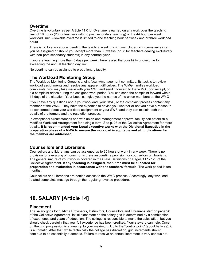#### **Overtime**

Overtime is voluntary as per Article 11.01J. Overtime is earned on any work over the teaching limit of 18 hours (20 for teachers with no post secondary teaching) or the 44 hour per week workload limit. Allowable overtime is limited to one teaching hour per week and/or three workload hours.

There is no tolerance for exceeding the teaching week maximums. Under no circumstances can you be assigned or should you accept more than 36 weeks (or 38 for teachers dealing exclusively with non-post-secondary students) in any contract year.

If you are teaching more than 5 days per week, there is also the possibility of overtime for exceeding the annual teaching day limit.

No overtime can be assigned to probationary faculty.

#### **The Workload Monitoring Group**

The Workload Monitoring Group is a joint faculty/management committee. Its task is to review workload assignments and resolve any apparent difficulties. The WMG handles workload complaints. You may take issue with your SWF and send it forward to the WMG upon receipt, or, if a complaint arises during the assigned work period. You can send the complaint forward within 14 days of the situation. Your Local can give you the names of the union members on the WMG

If you have any questions about your workload, your SWF, or the complaint process contact any member of the WMG. They have the expertise to advise you whether or not you have a reason to be concerned about your workload assignment or your SWF, and they can explain both the details of the formula and the resolution process.

In exceptional circumstances and with union and management approval faculty can establish a Modified Workload Arrangement for a single term. See p. 23 of the Collective Agreement for more details. **It is recommended your Local executive works with the Divisional Executive in the preparation phase of a MWA to ensure the workload is equitable and all implications for the member are addressed**.

#### **Counsellors and Librarians**

Counsellors and lLibrarians can be assigned up to 35 hours of work in any week. There is no provision for averaging of hours nor is there an overtime provision for counsellors or librarians. The general nature of your work is covered in the Class Definitions on Pages 117 - 120 of the Collective Agreement**. If any teaching is assigned, then time must be allocated for preparation and evaluation in accordance with the teachers' formula**. The work period is ten months.

Counsellors and Librarians are denied access to the WMG process. Accordingly, any workload related complaints must go through the regular grievance procedure.

## **10. SALARY [Article 14]**

#### **Placement**

The salary grids for full-time Professors, Instructors, Counsellors and Librarians start on page 26 of the Collective Agreement. Initial placement on the salary grid is determined by a combination of experience and years of education. The college is responsible to make the calculation, but you should check carefully that your full experience has been credited. Your steward can help. Once on the grid progression is annual up to your maximum. Up to the "control point" (about halfway), it is automatic. After that, while technically the college has discretion, grid increments should continue to be essentially automatic. Failure to receive an annual increment is very serious not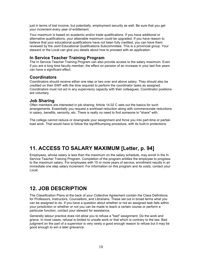just in terms of lost income, but potentially, employment security as well. Be sure that you get your increment every year of entitlement.

Your maximum is based on academic and/or trade qualifications. If you have additional or alternative qualifications, your attainable maximum could be upgraded. If you have reason to believe that your educational qualifications have not been fully credited, you can have them reviewed by the Joint Educational Qualifications Subcommittee. This is a provincial group. Your steward or the Local can give you details about how to proceed with an application.

#### **In Service Teacher Training Program**

The In Service Teacher Training Program can also provide access to the salary maximum. Even if you are a long time faculty member, the effect on pension of an increase in your last five years can have a significant effect.

#### **Coordinators**

Coordinators should receive either one step or two over and above salary. They should also be credited on their SWF with the time required to perform the coordinator tasks as assigned. Coordinators must not act in any supervisory capacity with their colleagues. Coordinator positions are voluntary.

#### **Job Sharing**

Often members are interested in job sharing; Article 14.02 C sets out the basics for such arrangements. Essentially you request a workload reduction along with commensurate reductions in salary, benefits, seniority, etc. There is really no need to find someone to "share" with.

The college cannot reduce or downgrade your assignment and force you into part-time or partialload work. That would have to follow the layoff/bumping procedure, with its built-in protections.

## **11. ACCESS TO SALARY MAXIMUM [Letter, p. 94]**

Employees, whose salary is less than the maximum on the salary schedule, may enroll in the In Service Teacher Training Program. Completion of the program entitles the employee to progress to the maximum salary. For employees with 15 or more years of service, enrollment results in an immediate one step salary increment. For information on this program and its costs, contact your Local.

## **12. JOB DESCRIPTION**

The Classification Plans at the back of your Collective Agreement contain the Class Definitions for Professors, Instructors, Counsellors, and Librarians. These set out in broad terms what you can be assigned to do. If you have a question about whether or not an assigned task falls within your jurisdiction or whether or not you can be made to teach a certain course or perform a particular function, contact your steward for assistance.

Generally labour practice does not allow you to refuse a "bad" assignment. Do the work and grieve. In most cases, refusal is limited to unsafe work or that which is contrary to the law. Bad judgment on the part of a supervisor is very rarely a good enough reason to refuse but it may be good enough to win a later grievance.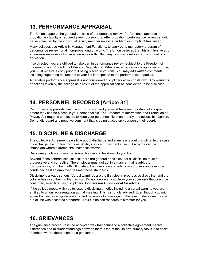## **13. PERFORMANCE APPRAISAL**

The Union supports the general principle of performance review. Performance appraisal of probationary faculty is required every four months. After probation, performance reviews should be self-directed by the individual faculty member unless a problem or complaint has arisen.

Many colleges use Article 6, Management Functions, to carry out a mandatory program of performance review for all non-probationary faculty. The Union believes that this is intrusive and an unreasonable use of scarce resources with little if any positive results in terms of quality of education.

If so directed, you are obliged to take part in performance review (subject to the Freedom of Information and Protection of Privacy Regulations). Whenever a performance appraisal is done, you must receive a copy prior to it being placed in your file. You may add written comments including supporting documents to your file in response to the performance appraisal.

A negative performance appraisal is not considered disciplinary action on its own. Any warnings or actions taken by the college as a result of the appraisal can be considered to be discipline.

## **14. PERSONNEL RECORDS [Article 31]**

Performance appraisals must be shown to you and you must have an opportunity to respond before they can be placed in your personnel file. The Freedom of Information and Protection of Privacy Act requires employers to keep your personnel file in an orderly and accessible fashion. Do not disregard any negative comment that is being placed on your personnel record.

## **15. DISCIPLINE & DISCHARGE**

The Collective Agreement says little about discharge and even less about discipline. In the case of discharge, the contract requires 90 days notice or payment in lieu. Discharge can be immediate where extreme circumstances warrant.

Disciplinary notices to your personnel file have to be shown to you first.

Beyond those contract stipulations; there are general principles that all discipline must be progressive and corrective. The employer must not act in a manner that is arbitrary, discriminatory, or in bad faith. Ultimately, the grievance and arbitration process and even the courts decide if an employer has met those standards.

Discipline is always serious. Verbal warnings are the first step in progressive discipline, and the college has used them in that fashion. Do not ignore any act from your supervisor that could be construed, even later, as disciplinary. *Contact the Union Local for advice.* 

If the college meets with you to issue a disciplinary notice including a verbal warning you are entitled to union representation at that meeting. This is strongly advised! Even though you might agree that some discipline is warranted because of some slip-up, the level of discipline may be out of line with accepted standards. Your Union can research this matter for you.

## **16. GRIEVANCES**

The grievance procedure is the accepted way that parties to a collective agreement resolve differences and misunderstandings between them. One of the Union's primary tasks is to assist members where there might be a grievance.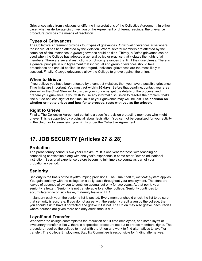Grievances arise from violations or differing interpretations of the Collective Agreement. In either case, whether deliberate circumvention of the Agreement or different readings, the grievance procedure provides the means of resolution.

## **Types of Grievances**

The Collective Agreement provides four types of grievances. *Individua*l grievances arise where the individual has been affected by the violation. Where several members are affected by the same set of circumstances, a *group* grievance could be filed. Thirdly, a *Union* grievance can be used when the College has adopted a general policy or practice that violates the rights of all members. There are several restrictions on Union grievances that limit their usefulness. There is a general principle in our Agreement that individual and group grievances should take precedence and should be filed. In that regard, individual grievances are the most likely to succeed. Finally, *College* grievances allow the College to grieve against the union.

## **When to Grieve**

If you believe you have been affected by a contract violation, then you have a possible grievance. Time limits are important. You must **act within 20 days**. Before that deadline, contact your area steward or the Chief Steward to discuss your concerns, get the details of the process, and prepare your grievance. If you wish to use any informal discussion to resolve the problem, that's fine but do not lose sight of the time limits or your grievance may well be lost. **The decision on whether or not to grieve and how far to proceed, rests with you as the grievor.** 

#### **Right to Grieve**

Finally, The Collective Agreement contains a specific provision protecting members who might grieve. This is supported by provincial labour legislation. You cannot be penalized for your activity in the Union or for exercising your rights under the Collective Agreement.

## **17. JOB SECURITY [Articles 27 & 28]**

#### **Probation**

The probationary period is two years maximum. It is one year for those with teaching or counselling certification along with one year's experience in some other Ontario educational institution. Sessional experience before becoming full-time also counts as part of your probationary period.

## **Seniority**

Seniority is the basis of the layoff/bumping provisions. The usual "*first in, last out*" system applies. You gain seniority with the college on a daily basis throughout your employment. The standard leaves of absence allow you to continue accrual but only for two years. At that point, your seniority is frozen. Seniority is not transferable to another college. Seniority continues to accumulate while on sick leave, maternity leave or LTD.

In January each year, the seniority list is posted. Every member should check the list to be sure that seniority is accurate. If you do not agree with the seniority credit given by the college, then you should ask to have it corrected and grieve if it is not. The Union may also grieve inaccuracies where persons are given more seniority credit than is due.

#### **Layoff and Transfer**

Whenever the college contemplates the reduction of full-time employees, and some layoff or involuntary transfer is likely, there is a specified procedure set out to protect members' rights. The procedure requires the college to meet with the Union and work to find alternatives to layoff or transfer. The College Employment Stability Committee is responsible for finding alternatives.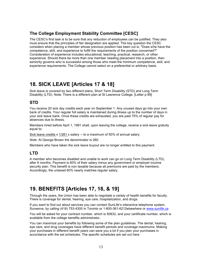## **The College Employment Stability Committee [CESC]**

The CESC's first task is to be sure that any reduction of employees can be justified. They also must ensure that the principles of fair designation are applied. The key question the CESC considers when placing a member whose previous position has been cut is, "Does s/he have the competence, skill, and experience to fulfill the requirements of the position concerned?" Consideration of experience includes educational, teaching, practical, research, or other experience. Should there be more than one member needing placement into a position, then seniority governs who is successful among those who meet the minimum competence, skill, and experience requirements. The College cannot select on a preferential or arbitrary basis.

## **18. SICK LEAVE [Articles 17 & 18]**

Sick leave is covered by two different plans, Short Term Disability (STD) and Long Term Disability (LTD). Note: There is a different plan at St Lawrence College. [Letter p.99]

## **STD**

You receive 20 sick day credits each year on September 1. Any unused days go into your own bank of credits. Your regular full salary is maintained during illness up to the number of days in your sick leave bank. Once these credits are exhausted, you are paid 75% of regular pay for absences due to illness.

Members hired before April 1, 1991 shall, upon leaving the college, receive a sick-leave gratuity equal to:

Sick leave credits x 1/261 x salary -- to a maximum of 50% of annual salary.

*Note*: At George Brown the denominator is 260.

Members who have taken the sick leave buyout are no longer entitled to this payment.

## **LTD**

A member who becomes disabled and unable to work can go on Long Term Disability (LTD), after 6 months. Payment is 60% of their salary minus any government or employer income security plan. This benefit is non taxable because all premiums are paid by the members. Accordingly, the untaxed 60% nearly matches regular salary.

## **19. BENEFITS [Articles 17, 18, & 19]**

Through the years, the Union has been able to negotiate a variety of health benefits for faculty. There is coverage for dental, hearing, eye care, hospitalization, and drugs.

If you want to find out about services you can contact SunLife's interactive telephone system, Sunserve, by calling (416) 753-4300 in Toronto or 1-800-361-6212elsewhere or www.sunlife.ca

You will be asked for your contract number, which is 50832, and your certificate number, which is available from the college benefits administrator.

You can maximize your benefits by following some of the plan guidelines. The dental, hearing, eye care, and drug coverages have different benefit periods and coverage maximums. Making your purchases in different benefit years can save you a lot if you plan your purchases in accordance with the set schedules. The specific schedules are set out here.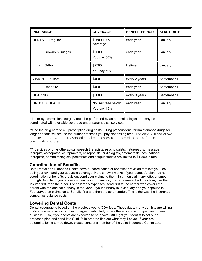| <b>INSURANCE</b>          | <b>COVERAGE</b>                    | <b>BENEFIT PERIOD</b> | <b>START DATE</b> |
|---------------------------|------------------------------------|-----------------------|-------------------|
| DENTAL - Regular          | \$2500 100%<br>coverage            | each year             | January 1         |
| Crowns & Bridges          | \$2500<br>You pay 50%              | each year             | January 1         |
| Ortho                     | \$2500<br>You pay 50%              | lifetime              | January 1         |
| VISION - Adults**         | \$400                              | every 2 years         | September 1       |
| Under 18                  | \$400                              | each year             | September 1       |
| <b>HEARING</b>            | \$3000                             | every 3 years         | September 1       |
| <b>DRUGS &amp; HEALTH</b> | No limit *see below<br>You pay 15% | each year             | January 1         |

\* Laser eye corrections surgery must be performed by an ophthalmologist and may be coordinated with available coverage under paramedical services.

\*\*Use the drug card to cut prescription drug costs. Filling prescriptions for maintenance drugs for longer periods will reduce the number of times you pay dispensing fees. The card will not allow charges above what is reasonable and customary for either dispensing fees or prescription drugs.

\*\*\* Services of physiotherapists, speech therapists, psychologists, naturopaths, massage therapist, osteopaths, chiropractors, chiropodists, audiologists, optometrists, occupational therapists, ophthalmologists, podiatrists and acupuncturists are limited to \$1,500 in total.

#### **Coordination of Benefits**

Both Dental and Extended Health have a "coordination of benefits" provision that lets you use both your own and your spouse's coverage. Here's how it works. If your spouse's plan has no coordination of benefits provision, send your claims to them first, then claim any leftover amount through SunLife. If your spouse's plan has coordination, then whomever had the claim, use that insurer first, then the other. For children's expenses, send first to the carrier who covers the parent with the earliest birthday in the year. If your birthday is in January and your spouse in February, then claims go to SunLife first and then the other carrier. This is the way the insurance companies balance costs.

#### **Lowering Dental Costs**

Dental coverage is based on the previous year's ODA fees. These days, many dentists are willing to do some negotiation on their charges, particularly where there is some competition for your business. Also, if your costs are expected to be above \$300, get your dentist to set out a proposed plan and send it to SunLife in order to find out what they'll cover. If your predetermination is turned down, please contact a member of the Joint Insurance Committee.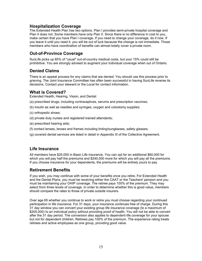#### **Hospitalization Coverage**

The Extended Health Plan has two options. Plan I provides semi-private hospital coverage and Plan II does not. Some members have only Plan II. Since there is no difference in cost to you, make certain that you have Plan I coverage. If you need to change your coverage, do it now. If you leave it until you need it, you will be out of luck because the change is not immediate. Those members who have coordination of benefits can almost totally cover a private room.

#### **Out-of-Province Coverage**

SunLife picks up 85% of "usual" out-of-country medical costs, but your 15% could still be prohibitive. You are strongly advised to augment your individual coverage when out of Ontario.

#### **Denied Claims**

There is an appeal process for any claims that are denied. You should use this process prior to grieving. The Joint Insurance Committee has often been successful in having SunLife reverse its decisions. Contact your steward or the Local for contact information.

#### **What is Covered?**

Extended Health, Hearing, Vision, and Dental:

- (a) prescribed drugs, including contraceptives, serums and prescription vaccines;
- (b) insulin as well as needles and syringes, oxygen and colostomy supplies;
- (c) orthopedic shoes;
- (d) private duty nurses and registered trained attendants;
- (e) prescribed hearing aids;
- (f) contact lenses, lenses and frames including tinting/sunglasses, safety glasses;
- (g) covered dental services are listed in detail in Appendix III of the Collective Agreement.

#### **Life Insurance**

All members have \$25,000 in Basic Life insurance. You can opt for an additional \$60,000 for which you will pay half the premiums and \$240,000 more for which you will pay all the premiums. If you choose insurance for your dependents, the premiums will be entirely yours to pay.

#### **Retirement Benefits**

If you wish, you may continue with some of your benefits once you retire. For Extended Health and the Dental Plans, you must be receiving either the CAAT or the Teachers' pension and you must be maintaining your OHIP coverage. The retiree pays 100% of the premium. They may select from three levels of coverage. In order to determine whether this is good value, members should compare the rates to those of private outside insurers.

Over age 65 whether you continue to work or retire you must choose regarding your continued participation in life insurance. For 31 days, your insurance continues free of charge. During this 31 day window you can convert your existing group life insurance coverage (to a maximum of \$200,000) to an individual policy without providing proof of health. You will not be able to convert after the 31 day period. The conversion also applies to dependent life coverage for your spouse but not for dependent children. Retirees pay 100% of the premium. The experience rating treats retirees and active employees as one group, providing good value.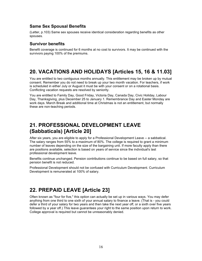#### **Same Sex Spousal Benefits**

(Letter, p.103) Same sex spouses receive identical consideration regarding benefits as other spouses.

#### **Survivor benefits**

Benefit coverage is continued for 6 months at no cost to survivors. It may be continued with the survivors paying 100% of the premiums.

## **20. VACATIONS AND HOLIDAYS [Articles 15, 16 & 11.03]**

You are entitled to two contiguous months annually. This entitlement may be broken up by mutual consent. Remember you do not need to break up your two month vacation. For teachers, if work is scheduled in either July or August it must be with your consent or on a rotational basis. Conflicting vacation requests are resolved by seniority.

You are entitled to Family Day, Good Friday, Victoria Day, Canada Day, Civic Holiday, Labour Day, Thanksgiving, plus December 25 to January 1. Remembrance Day and Easter Monday are work days. March Break and additional time at Christmas is not an entitlement, but normally these are non-teaching periods.

## **21. PROFESSIONAL DEVELOPMENT LEAVE (Sabbaticals) [Article 20]**

After six years, you are eligible to apply for a Professional Development Leave -- a sabbatical. The salary ranges from 55% to a maximum of 80%. The college is required to grant a minimum number of leaves depending on the size of the bargaining unit. If more faculty apply than there are positions available, selection is based on years of service since the individual's last professional development leave.

Benefits continue unchanged. Pension contributions continue to be based on full salary, so that pension benefit is not reduced.

Professional Development should not be confused with Curriculum Development. Curriculum Development is remunerated at 100% of salary.

## **22. PREPAID LEAVE [Article 23]**

Often known as "four for five," this option can actually be set up in various ways. You may defer anything from one third to one sixth of your annual salary to finance a leave. (That is - you could defer a third of your salary for two years and then take the next year off, or a sixth over five years followed by a year off.) This leave guarantees your right to the same position upon return to work. College approval is required but cannot be unreasonably denied.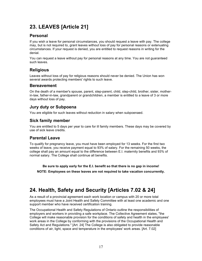## **23. LEAVES [Article 21]**

## **Personal**

If you wish a leave for personal circumstances, you should request a leave with pay. The college may, but is not required to, grant leaves without loss of pay for personal reasons or extenuating circumstances. If your request is denied, you are entitled to request reasons in writing for the denial.

You can request a leave without pay for personal reasons at any time. You are not guaranteed such leaves.

#### **Religious**

Leaves without loss of pay for religious reasons should never be denied. The Union has won several awards protecting members' rights to such leave.

#### **Bereavement**

On the death of a member's spouse, parent, step-parent, child, step-child, brother, sister, motherin-law, father-in-law, grandparent or grandchildren, a member is entitled to a leave of 3 or more days without loss of pay.

## **Jury duty or Subpoena**

You are eligible for such leaves without reduction in salary when subpoenaed.

#### **Sick family member**

You are entitled to 5 days per year to care for ill family members. These days may be covered by use of sick leave credits.

#### **Parental Leave**

To qualify for pregnancy leave, you must have been employed for 13 weeks. For the first two weeks of leave, you receive payment equal to 93% of salary. For the remaining 50 weeks, the college shall pay an amount equal to the difference between E.I. maternity benefits and 93% of normal salary. The College shall continue all benefits.

**Be sure to apply early for the E.I. benefit so that there is no gap in income!**

**NOTE: Employees on these leaves are not required to take vacation concurrently.**

## **24. Health, Safety and Security [Articles 7.02 & 24]**

As a result of a provincial agreement each work location or campus with 20 or more total employees must have a Joint Health and Safety Committee with at least one academic and one support member who have received certification training.

The Occupational Health and Safety Regulations of Ontario outline the responsibilities of employers and workers in providing a safe workplace. The Collective Agreement states, "the College will make reasonable provision for the conditions of safety and health in the employees' work areas in the College by conforming with the provisions of the Occupational Health and Safety Act and Regulations." [Art. 24] The College is also obligated to provide reasonable conditions of air, light, space and temperature in the employees' work areas. [Art. 7.02]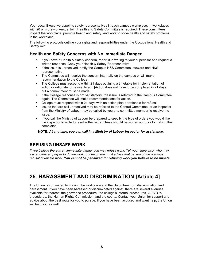Your Local Executive appoints safety representatives in each campus workplace. In workplaces with 20 or more workers, a Joint Health and Safety Committee is required. These committees inspect the workplace, promote health and safety, and work to solve health and safety problems in the workplace.

The following protocols outline your rights and responsibilities under the Occupational Health and Safety Act:

#### **Health and Safety Concerns with No Immediate Danger**

- If you have a Health & Safety concern, report it in writing to your supervisor and request a written response. Copy your Health & Safety Representative.
- If the issue is unresolved, notify the Campus H&S Committee, steward and H&S representative.
- The Committee will resolve the concern internally on the campus or will make recommendation to the College.
- The College must respond within 21 days outlining a timetable for implementation of action or rationale for refusal to act. [Action does not have to be completed in 21 days, but a commitment must be made.]
- If the College response is not satisfactory, the issue is referred to the Campus Committee again. The Committee will make recommendations for action.
- College must respond within 21 days with an action plan or rationale for refusal.
- Issues that are still unresolved may be referred to the Central Committee, or an inspector from the Ministry of Labour may be called by you or a committee member to resolve the issue.
- If you call the Ministry of Labour be prepared to specify the type of orders you would like the inspector to write to resolve the issue. These should be written out prior to making the complaint.

**NOTE:** *At any time, you can call in a Ministry of Labour Inspector for assistance.*

#### **REFUSING UNSAFE WORK**

*If you believe there is an immediate danger you may refuse work. Tell your supervisor who may ask another employee to do the work, but he or she must advise that person of the previous refusal of unsafe work. You cannot be penalized for refusing work you believe to be unsafe.*

## **25. HARASSMENT AND DISCRIMINATION [Article 4]**

The Union is committed to making the workplace and the Union free from discrimination and harassment. If you have been harassed or discriminated against, there are several avenues available for redress: the grievance procedure, the college's internal procedures, OPSEU's procedures, the Human Rights Commission, and the courts. Contact your Union for support and advice about the best route for you to pursue. If you have been accused and want help, the Union will help you as well.